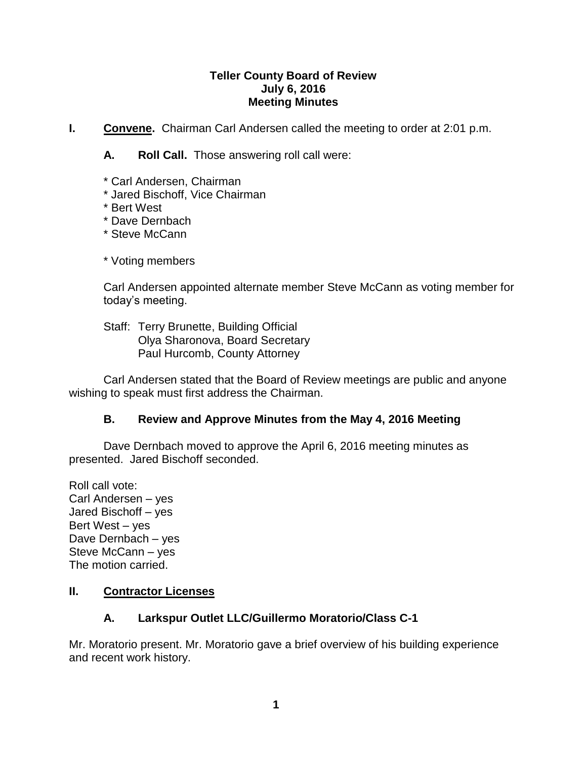## **Teller County Board of Review July 6, 2016 Meeting Minutes**

**I. Convene.** Chairman Carl Andersen called the meeting to order at 2:01 p.m.

**A. Roll Call.** Those answering roll call were:

- \* Carl Andersen, Chairman
- \* Jared Bischoff, Vice Chairman
- \* Bert West
- \* Dave Dernbach
- \* Steve McCann

\* Voting members

Carl Andersen appointed alternate member Steve McCann as voting member for today's meeting.

Staff: Terry Brunette, Building Official Olya Sharonova, Board Secretary Paul Hurcomb, County Attorney

Carl Andersen stated that the Board of Review meetings are public and anyone wishing to speak must first address the Chairman.

# **B. Review and Approve Minutes from the May 4, 2016 Meeting**

Dave Dernbach moved to approve the April 6, 2016 meeting minutes as presented. Jared Bischoff seconded.

Roll call vote: Carl Andersen – yes Jared Bischoff – yes Bert West – yes Dave Dernbach – yes Steve McCann – yes The motion carried.

# **II. Contractor Licenses**

# **A. Larkspur Outlet LLC/Guillermo Moratorio/Class C-1**

Mr. Moratorio present. Mr. Moratorio gave a brief overview of his building experience and recent work history.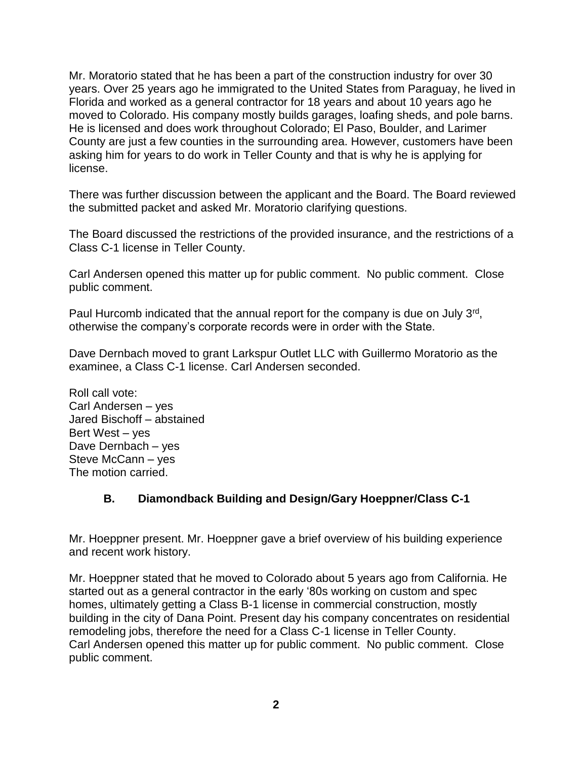Mr. Moratorio stated that he has been a part of the construction industry for over 30 years. Over 25 years ago he immigrated to the United States from Paraguay, he lived in Florida and worked as a general contractor for 18 years and about 10 years ago he moved to Colorado. His company mostly builds garages, loafing sheds, and pole barns. He is licensed and does work throughout Colorado; El Paso, Boulder, and Larimer County are just a few counties in the surrounding area. However, customers have been asking him for years to do work in Teller County and that is why he is applying for license.

There was further discussion between the applicant and the Board. The Board reviewed the submitted packet and asked Mr. Moratorio clarifying questions.

The Board discussed the restrictions of the provided insurance, and the restrictions of a Class C-1 license in Teller County.

Carl Andersen opened this matter up for public comment. No public comment. Close public comment.

Paul Hurcomb indicated that the annual report for the company is due on July 3<sup>rd</sup>, otherwise the company's corporate records were in order with the State.

Dave Dernbach moved to grant Larkspur Outlet LLC with Guillermo Moratorio as the examinee, a Class C-1 license. Carl Andersen seconded.

Roll call vote: Carl Andersen – yes Jared Bischoff – abstained Bert West – yes Dave Dernbach – yes Steve McCann – yes The motion carried.

# **B. Diamondback Building and Design/Gary Hoeppner/Class C-1**

Mr. Hoeppner present. Mr. Hoeppner gave a brief overview of his building experience and recent work history.

Mr. Hoeppner stated that he moved to Colorado about 5 years ago from California. He started out as a general contractor in the early '80s working on custom and spec homes, ultimately getting a Class B-1 license in commercial construction, mostly building in the city of Dana Point. Present day his company concentrates on residential remodeling jobs, therefore the need for a Class C-1 license in Teller County. Carl Andersen opened this matter up for public comment. No public comment. Close public comment.